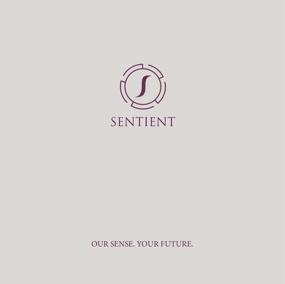

OUR SENSE. YOUR FUTURE.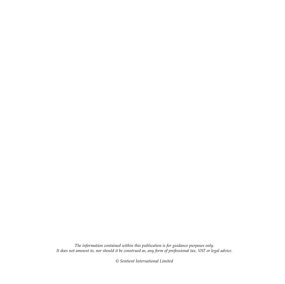*The information contained within this publication is for guidance purposes only. It does not amount to, nor should it be construed as, any form of professional tax, VAT or legal advice.*

*© Sentient International Limited*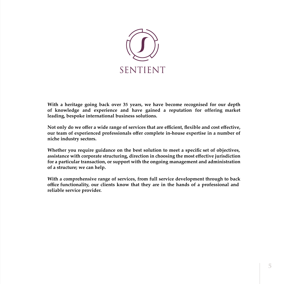

**With a heritage going back over 35 years, we have become recognised for our depth of knowledge and experience and have gained a reputation for offering market leading, bespoke international business solutions.**

**Not only do we offer a wide range of services that are efficient, flexible and cost effective, our team of experienced professionals offer complete in-house expertise in a number of niche industry sectors.**

**Whether you require guidance on the best solution to meet a specific set of objectives, assistance with corporate structuring, direction in choosing the most effective jurisdiction for a particular transaction, or support with the ongoing management and administration of a structure; we can help.**

**With a comprehensive range of services, from full service development through to back office functionality, our clients know that they are in the hands of a professional and reliable service provider.**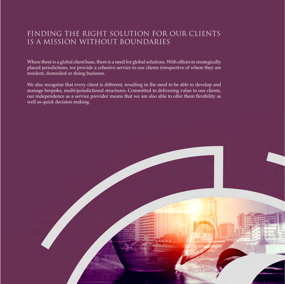### FINDING THE RIGHT SOLUTION FOR OUR CLIENTS IS A MISSION WITHOUT BOUNDARIES

Where there is a global client base, there is a need for global solutions. With offices in strategically placed jurisdictions, we provide a cohesive service to our clients irrespective of where they are resident, domiciled or doing business.

We also recognise that every client is different, resulting in the need to be able to develop and manage bespoke, multi-jurisdictional structures. Committed to delivering value to our clients, our independence as a service provider means that we are also able to offer them flexibility as well as quick decision making.

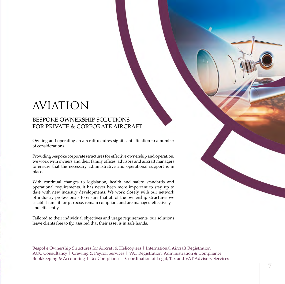## AVIATION

### BESPOKE OWNERSHIP SOLUTIONS FOR PRIVATE & CORPORATE AIRCRAFT

Owning and operating an aircraft requires significant attention to a number of considerations.

Providing bespoke corporate structures for effective ownership and operation, we work with owners and their family offices, advisors and aircraft managers to ensure that the necessary administrative and operational support is in place.

With continual changes to legislation, health and safety standards and operational requirements, it has never been more important to stay up to date with new industry developments. We work closely with our network of industry professionals to ensure that all of the ownership structures we establish are fit for purpose, remain compliant and are managed effectively and efficiently.

Tailored to their individual objectives and usage requirements, our solutions leave clients free to fly, assured that their asset is in safe hands.

Bespoke Ownership Structures for Aircraft & Helicopters | International Aircraft Registration AOC Consultancy | Crewing & Payroll Services | VAT Registration, Administration & Compliance Bookkeeping & Accounting | Tax Compliance | Coordination of Legal, Tax and VAT Advisory Services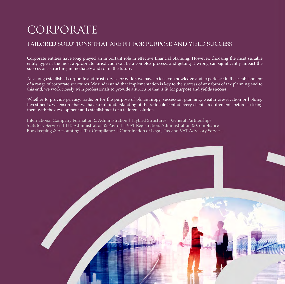# CORPORATE

### TAILORED SOLUTIONS THAT ARE FIT FOR PURPOSE AND YIELD SUCCESS

Corporate entities have long played an important role in effective financial planning. However, choosing the most suitable entity type in the most appropriate jurisdiction can be a complex process, and getting it wrong can significantly impact the success of a structure, immediately and/or in the future.

As a long established corporate and trust service provider, we have extensive knowledge and experience in the establishment of a range of corporate structures. We understand that implementation is key to the success of any form of tax planning and to this end, we work closely with professionals to provide a structure that is fit for purpose and yields success.

Whether to provide privacy, trade, or for the purpose of philanthropy, succession planning, wealth preservation or holding investments, we ensure that we have a full understanding of the rationale behind every client's requirements before assisting them with the development and establishment of a tailored solution.

International Company Formation & Administration | Hybrid Structures | General Partnerships Statutory Services | HR Administration & Payroll | VAT Registration, Administration & Compliance Bookkeeping & Accounting | Tax Compliance | Coordination of Legal, Tax and VAT Advisory Services

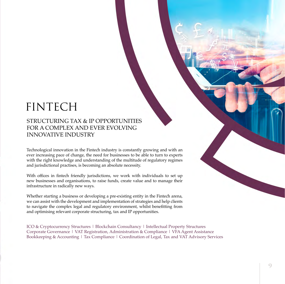# FINTECH

### STRUCTURING TAX & IP OPPORTUNITIES FOR A COMPLEX AND EVER EVOLVING INNOVATIVE INDUSTRY

Technological innovation in the Fintech industry is constantly growing and with an ever increasing pace of change, the need for businesses to be able to turn to experts with the right knowledge and understanding of the multitude of regulatory regimes and jurisdictional practises, is becoming an absolute necessity.

With offices in fintech friendly jurisdictions, we work with individuals to set up new businesses and organisations, to raise funds, create value and to manage their infrastructure in radically new ways.

Whether starting a business or developing a pre-existing entity in the Fintech arena, we can assist with the development and implementation of strategies and help clients to navigate the complex legal and regulatory environment, whilst benefitting from and optimising relevant corporate structuring, tax and IP opportunities.

ICO & Cryptocurrency Structures | Blockchain Consultancy | Intellectual Property Structures Corporate Governance | VAT Registration, Administration & Compliance | VFA Agent Assistance Bookkeeping & Accounting | Tax Compliance | Coordination of Legal, Tax and VAT Advisory Services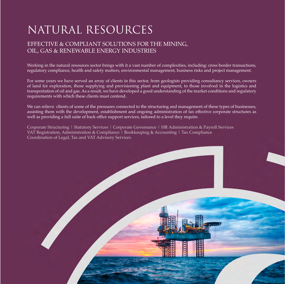# NATURAL RESOURCES

### EFFECTIVE & COMPLIANT SOLUTIONS FOR THE MINING, OIL, GAS & RENEWABLE ENERGY INDUSTRIES

Working in the natural resources sector brings with it a vast number of complexities, including: cross border transactions, regulatory compliance, health and safety matters, environmental management, business risks and project management.

For some years we have served an array of clients in this sector, from geologists providing consultancy services, owners of land for exploration, those supplying and provisioning plant and equipment, to those involved in the logistics and transportation of oil and gas. As a result, we have developed a good understanding of the market conditions and regulatory requirements with which these clients must contend.

We can relieve clients of some of the pressures connected to the structuring and management of these types of businesses, assisting them with the development, establishment and ongoing administration of tax effective corporate structures as well as providing a full suite of back office support services, tailored to a level they require.

Corporate Structuring | Statutory Services | Corporate Governance | HR Administration & Payroll Services VAT Registration, Administration & Compliance | Bookkeeping & Accounting | Tax Compliance Coordination of Legal, Tax and VAT Advisory Services

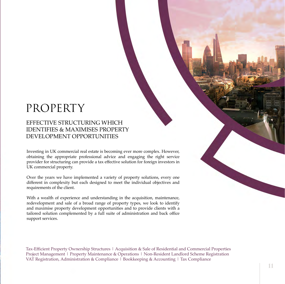## PROPERTY

### EFFECTIVE STRUCTURING WHICH IDENTIFIES & MAXIMISES PROPERTY DEVELOPMENT OPPORTUNITIES

Investing in UK commercial real estate is becoming ever more complex. However, obtaining the appropriate professional advice and engaging the right service provider for structuring can provide a tax effective solution for foreign investors in UK commercial property.

Over the years we have implemented a variety of property solutions, every one different in complexity but each designed to meet the individual objectives and requirements of the client.

With a wealth of experience and understanding in the acquisition, maintenance, redevelopment and sale of a broad range of property types, we look to identify and maximise property development opportunities and to provide clients with a tailored solution complemented by a full suite of administration and back office support services.

Tax-Efficient Property Ownership Structures | Acquisition & Sale of Residential and Commercial Properties Project Management | Property Maintenance & Operations | Non-Resident Landlord Scheme Registration VAT Registration, Administration & Compliance | Bookkeeping & Accounting | Tax Compliance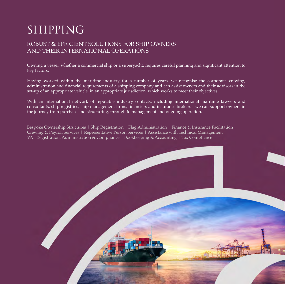# SHIPPING

### ROBUST & EFFICIENT SOLUTIONS FOR SHIP OWNERS AND THEIR INTERNATIONAL OPERATIONS

Owning a vessel, whether a commercial ship or a superyacht, requires careful planning and significant attention to key factors.

Having worked within the maritime industry for a number of years, we recognise the corporate, crewing, administration and financial requirements of a shipping company and can assist owners and their advisors in the set-up of an appropriate vehicle, in an appropriate jurisdiction, which works to meet their objectives.

With an international network of reputable industry contacts, including international maritime lawyers and consultants, ship registries, ship management firms, financiers and insurance brokers - we can support owners in the journey from purchase and structuring, through to management and ongoing operation.

Bespoke Ownership Structures | Ship Registration | Flag Administration | Finance & Insurance Facilitation Crewing & Payroll Services | Representative Person Services | Assistance with Technical Management VAT Registration, Administration & Compliance | Bookkeeping & Accounting | Tax Compliance

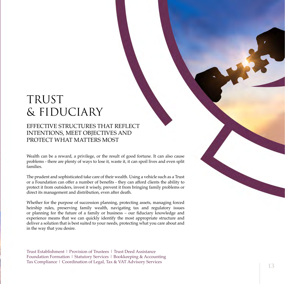## TRUST & FIDUCIARY

### EFFECTIVE STRUCTURES THAT REFLECT INTENTIONS, MEET OBJECTIVES AND PROTECT WHAT MATTERS MOST

Wealth can be a reward, a privilege, or the result of good fortune. It can also cause problems - there are plenty of ways to lose it, waste it, it can spoil lives and even split families.

The prudent and sophisticated take care of their wealth. Using a vehicle such as a Trust or a Foundation can offer a number of benefits - they can afford clients the ability to protect it from outsiders, invest it wisely, prevent it from bringing family problems or direct its management and distribution, even after death.

Whether for the purpose of succession planning, protecting assets, managing forced heirship rules, preserving family wealth, navigating tax and regulatory issues or planning for the future of a family or business – our fiduciary knowledge and experience means that we can quickly identify the most appropriate structure and deliver a solution that is best suited to your needs, protecting what you care about and in the way that you desire.

Trust Establishment | Provision of Trustees | Trust Deed Assistance Foundation Formation | Statutory Services | Bookkeeping & Accounting Tax Compliance | Coordination of Legal, Tax & VAT Advisory Services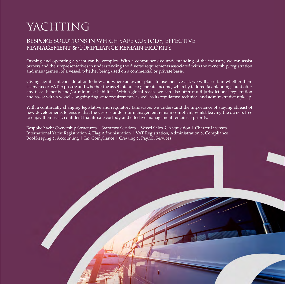# YACHTING

### BESPOKE SOLUTIONS IN WHICH SAFE CUSTODY, EFFECTIVE MANAGEMENT & COMPLIANCE REMAIN PRIORITY

Owning and operating a yacht can be complex. With a comprehensive understanding of the industry, we can assist owners and their representatives in understanding the diverse requirements associated with the ownership, registration and management of a vessel, whether being used on a commercial or private basis.

Giving significant consideration to how and where an owner plans to use their vessel, we will ascertain whether there is any tax or VAT exposure and whether the asset intends to generate income, whereby tailored tax planning could offer any fiscal benefits and/or minimise liabilities. With a global reach, we can also offer multi-jurisdictional registration and assist with a vessel's ongoing flag state requirements as well as its regulatory, technical and administrative upkeep.

With a continually changing legislative and regulatory landscape, we understand the importance of staying abreast of new developments to ensure that the vessels under our management remain compliant, whilst leaving the owners free to enjoy their asset, confident that its safe custody and effective management remains a priority.

Bespoke Yacht Ownership Structures | Statutory Services | Vessel Sales & Acquisition | Charter Licenses International Yacht Registration & Flag Administration | VAT Registration, Administration & Compliance Bookkeeping & Accounting | Tax Compliance | Crewing & Payroll Services

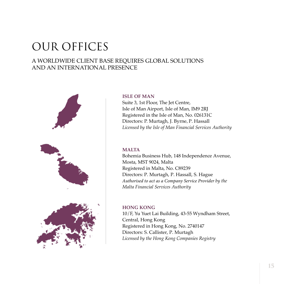# OUR OFFICES

### A WORLDWIDE CLIENT BASE REQUIRES GLOBAL SOLUTIONS AND AN INTERNATIONAL PRESENCE



#### **ISLE OF MAN**

Suite 3, 1st Floor, The Jet Centre, Isle of Man Airport, Isle of Man, IM9 2RJ Registered in the Isle of Man, No. 026131C Directors: P. Murtagh, J. Byrne, P. Hassall *Licensed by the Isle of Man Financial Services Authority*

#### **MALTA**

Bohemia Business Hub, 148 Independence Avenue, Mosta, MST 9024, Malta Registered in Malta, No. C89239 Directors: P. Murtagh, P. Hassall, S. Hague *Authorised to act as a Company Service Provider by the Malta Financial Services Authority*

#### **HONG KONG**

10/F, Yu Yuet Lai Building, 43-55 Wyndham Street, Central, Hong Kong Registered in Hong Kong, No. 2740147 Directors: S. Callister, P. Murtagh *Licensed by the Hong Kong Companies Registry*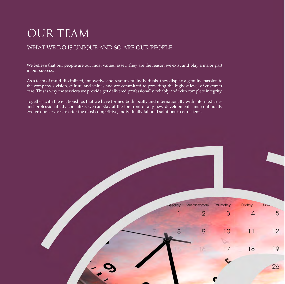# OUR TEAM

### WHAT WE DO IS UNIQUE AND SO ARE OUR PEOPLE

We believe that our people are our most valued asset. They are the reason we exist and play a major part in our success.

As a team of multi-disciplined, innovative and resourceful individuals, they display a genuine passion to the company's vision, culture and values and are committed to providing the highest level of customer care. This is why the services we provide get delivered professionally, reliably and with complete integrity.

Together with the relationships that we have formed both locally and internationally with intermediaries and professional advisors alike, we can stay at the forefront of any new developments and continually evolve our services to offer the most competitive, individually tailored solutions to our clients.